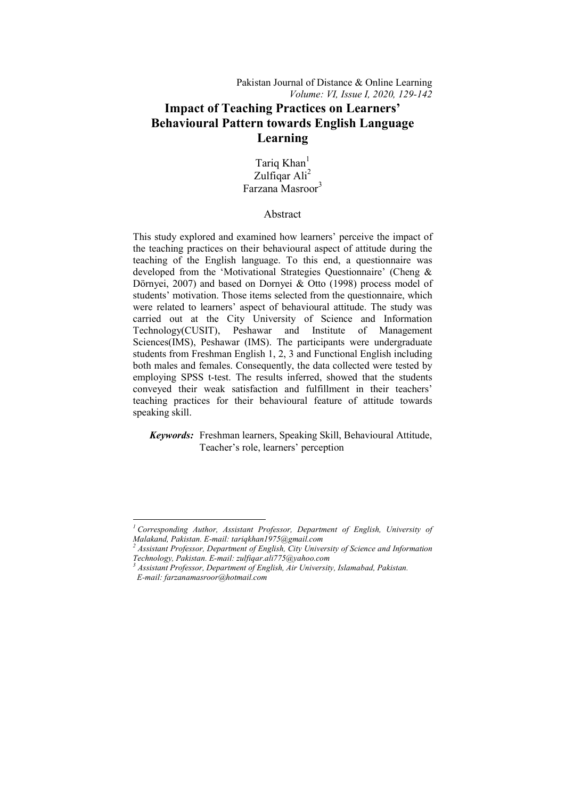# **Impact of Teaching Practices on Learners' Behavioural Pattern towards English Language Learning**

Tariq Khan<sup>1</sup> Zulfiqar Ali<sup>2</sup> Farzana Masroor<sup>3</sup>

# Abstract

This study explored and examined how learners' perceive the impact of the teaching practices on their behavioural aspect of attitude during the teaching of the English language. To this end, a questionnaire was developed from the 'Motivational Strategies Questionnaire' (Cheng & Dörnyei, 2007) and based on Dornyei & Otto (1998) process model of students' motivation. Those items selected from the questionnaire, which were related to learners' aspect of behavioural attitude. The study was carried out at the City University of Science and Information Technology(CUSIT), Peshawar and Institute of Management Sciences(IMS), Peshawar (IMS). The participants were undergraduate students from Freshman English 1, 2, 3 and Functional English including both males and females. Consequently, the data collected were tested by employing SPSS t-test. The results inferred, showed that the students conveyed their weak satisfaction and fulfillment in their teachers' teaching practices for their behavioural feature of attitude towards speaking skill.

 *Keywords:* Freshman learners, Speaking Skill, Behavioural Attitude, Teacher's role, learners' perception

1

*<sup>1</sup> Corresponding Author, Assistant Professor, Department of English, University of Malakand, Pakistan. E-mail: tariqkhan1975@gmail.com* 

*<sup>2</sup> Assistant Professor, Department of English, City University of Science and Information Technology, Pakistan. E-mail: zulfiqar.ali775@yahoo.com* 

*<sup>3</sup> Assistant Professor, Department of English, Air University, Islamabad, Pakistan. E-mail: farzanamasroor@hotmail.com*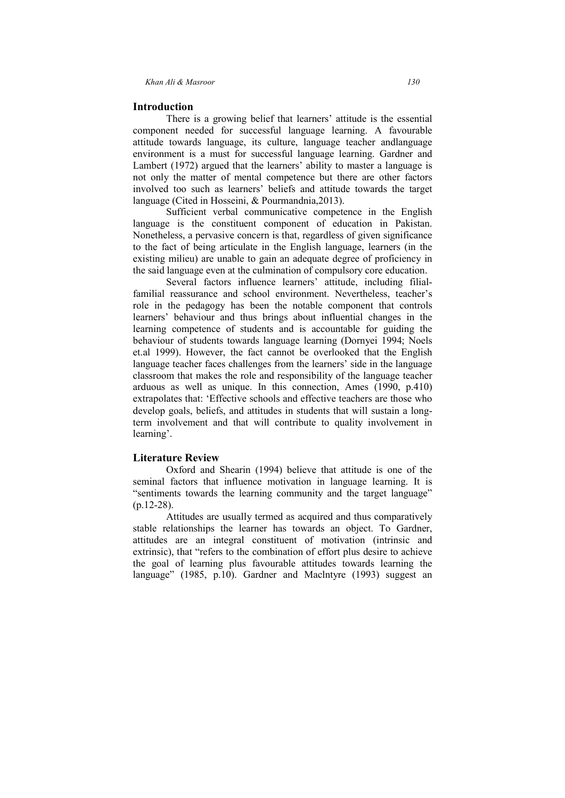# **Introduction**

 There is a growing belief that learners' attitude is the essential component needed for successful language learning. A favourable attitude towards language, its culture, language teacher andlanguage environment is a must for successful language learning. Gardner and Lambert (1972) argued that the learners' ability to master a language is not only the matter of mental competence but there are other factors involved too such as learners' beliefs and attitude towards the target language (Cited in Hosseini, & Pourmandnia,2013).

 Sufficient verbal communicative competence in the English language is the constituent component of education in Pakistan. Nonetheless, a pervasive concern is that, regardless of given significance to the fact of being articulate in the English language, learners (in the existing milieu) are unable to gain an adequate degree of proficiency in the said language even at the culmination of compulsory core education.

 Several factors influence learners' attitude, including filialfamilial reassurance and school environment. Nevertheless, teacher's role in the pedagogy has been the notable component that controls learners' behaviour and thus brings about influential changes in the learning competence of students and is accountable for guiding the behaviour of students towards language learning (Dornyei 1994; Noels et.al 1999). However, the fact cannot be overlooked that the English language teacher faces challenges from the learners' side in the language classroom that makes the role and responsibility of the language teacher arduous as well as unique. In this connection, Ames (1990, p.410) extrapolates that: 'Effective schools and effective teachers are those who develop goals, beliefs, and attitudes in students that will sustain a longterm involvement and that will contribute to quality involvement in learning'.

### **Literature Review**

Oxford and Shearin (1994) believe that attitude is one of the seminal factors that influence motivation in language learning. It is "sentiments towards the learning community and the target language" (p.12-28).

Attitudes are usually termed as acquired and thus comparatively stable relationships the learner has towards an object. To Gardner, attitudes are an integral constituent of motivation (intrinsic and extrinsic), that "refers to the combination of effort plus desire to achieve the goal of learning plus favourable attitudes towards learning the language" (1985, p.10). Gardner and Maclntyre (1993) suggest an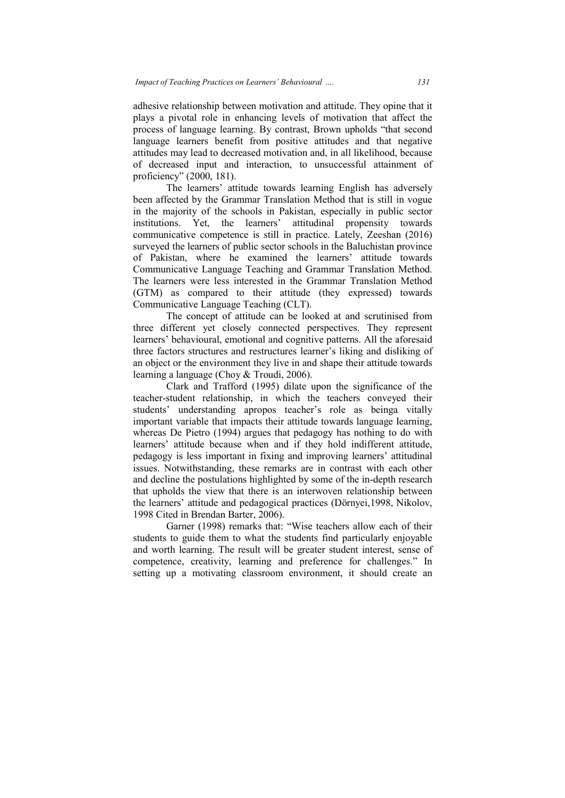adhesive relationship between motivation and attitude. They opine that it plays a pivotal role in enhancing levels of motivation that affect the process of language learning. By contrast, Brown upholds "that second language learners benefit from positive attitudes and that negative attitudes may lead to decreased motivation and, in all likelihood, because of decreased input and interaction, to unsuccessful attain proficiency" (2000, 181). uage learning. By contrast, Brown upholds "that second<br>ers benefit from positive attitudes and that negative<br>ad to decreased motivation and, in all likelihood, because<br>input and interaction, to unsuccessful attainment of

The learners' attitude towards learning English has adversely been affected by the Grammar Translation Method that is still in vogue in the majority of the schools in Pakistan, especially in public sector been affected by the Grammar Translation Method that is still in vogue<br>in the majority of the schools in Pakistan, especially in public sector<br>institutions. Yet, the learners' attitudinal propensity towards communicative competence is still in practice. Lately, Zeeshan (2016) surveyed the learners of public sector schools in the Baluchistan province of Pakistan, where he examined the learners' attitude towards Communicative Language Teaching and Grammar Translation Method. The learners were less interested in the Grammar Translation Method (GTM) as compared to their attitude (they expressed) towards Communicative Language Teaching (CLT). If the learners of public sector schools in the Baluchistan province<br>istan, where he examined the learners' attitude towards<br>nicative Language Teaching and Grammar Translation Method<br>as compared to their attitude (they exp age learning. By contrast, Brown upholds "that second<br>rs benefit from positive attitudes and that negative<br>ad to decreased motivation and, in all likelihood, because<br>apput and interaction, to unsuccessful attainment of<br>00,

three different yet closely connected perspectives. They represent learners' behavioural, emotional and cognitive patterns. All the aforesaid three factors structures and restructures learner's liking and disliking o an object or the environment they live in and shape their attitude towards learning a language (Choy & Troudi, 2006).

Clark and Trafford (1995) dilate upon the significance of the teacher-student relationship, in which the teachers conveyed their three factors structures and restructures learner's liking and disliking of<br>an object or the environment they live in and shape their attitude towards<br>learning a language (Choy & Troudi, 2006).<br>Clark and Trafford (1995) di important variable that impacts their attitude towards language learning, whereas De Pietro (1994) argues that pedagogy has nothing to do with learners' attitude because when and if they hold indifferent attitude. pedagogy is less important in fixing and improving learners' attitudinal issues. Notwithstanding, these remarks are in contrast with each other pedagogy is less important in fixing and improving learners' attitudinal issues. Notwithstanding, these remarks are in contrast with each other and decline the postulations highlighted by some of the in-depth research that upholds the view that there is an interwoven relationship between the learners' attitude and pedagogical practices (Dörnyei, 1998, Nikolov, 1998 Cited in Brendan Barter, 2006). attitude towards language learning,<br>t pedagogy has nothing to do with<br>l if they hold indifferent attitude, *131*<br>man and attitude. They opine that it<br>sls of motivation that affect the<br>sast, Brown upholds "that second<br>ive attitudes and that negative<br>on and, in all likelihood, because<br>to unsuccessful attainment of<br>learning Englis Clark and Trafford (1995) dilate upon the significance of the tudent relationship, in which the teachers conveyed their understanding apropos teacher's role as beinga vitally t variable that impacts their attitude towards

Garner (1998) remarks that: "Wise teachers allow each of their Garner (1998) remarks that: "Wise teachers allow each of their students to guide them to what the students find particularly enjoyable and worth learning. The result will be greater student interest, sense of competence, creativity, learning and preference for challenges." In setting up a motivating classroom environment, it should create an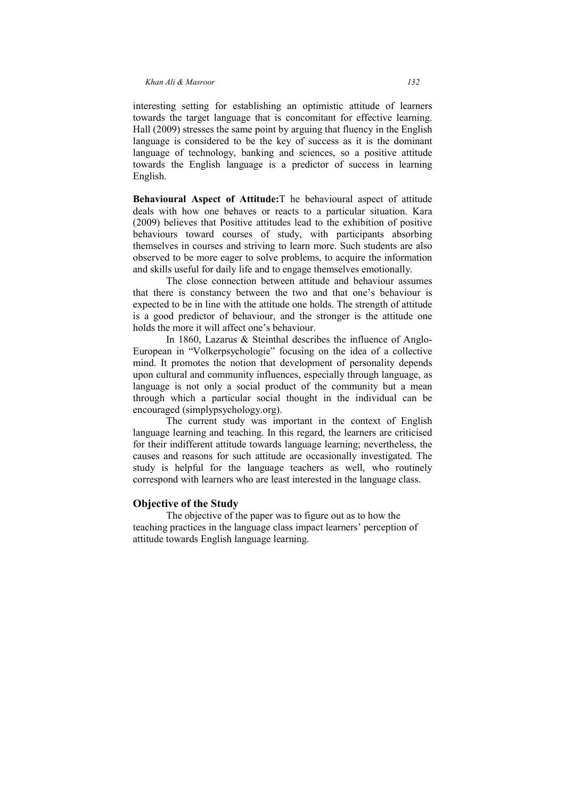interesting setting for establishing an optimistic attitude of learners towards the target language that is concomitant for effective learning. Hall (2009) stresses the same point by arguing that fluency in the English language is considered to be the key of success as it is the dominant language of technology, banking and sciences, so a positive attitude towards the English language is a predictor of success in learning English.

**Behavioural Aspect of Attitude:**T he behavioural aspect of attitude deals with how one behaves or reacts to a particular situation. Kara (2009) believes that Positive attitudes lead to the exhibition of positive behaviours toward courses of study, with participants absorbing themselves in courses and striving to learn more. Such students are also observed to be more eager to solve problems, to acquire the information and skills useful for daily life and to engage themselves emotionally.

 The close connection between attitude and behaviour assumes that there is constancy between the two and that one's behaviour is expected to be in line with the attitude one holds. The strength of attitude is a good predictor of behaviour, and the stronger is the attitude one holds the more it will affect one's behaviour.

 In 1860, Lazarus & Steinthal describes the influence of Anglo-European in "Volkerpsychologie" focusing on the idea of a collective mind. It promotes the notion that development of personality depends upon cultural and community influences, especially through language, as language is not only a social product of the community but a mean through which a particular social thought in the individual can be encouraged (simplypsychology.org).

 The current study was important in the context of English language learning and teaching. In this regard, the learners are criticised for their indifferent attitude towards language learning; nevertheless, the causes and reasons for such attitude are occasionally investigated. The study is helpful for the language teachers as well, who routinely correspond with learners who are least interested in the language class.

# **Objective of the Study**

 The objective of the paper was to figure out as to how the teaching practices in the language class impact learners' perception of attitude towards English language learning.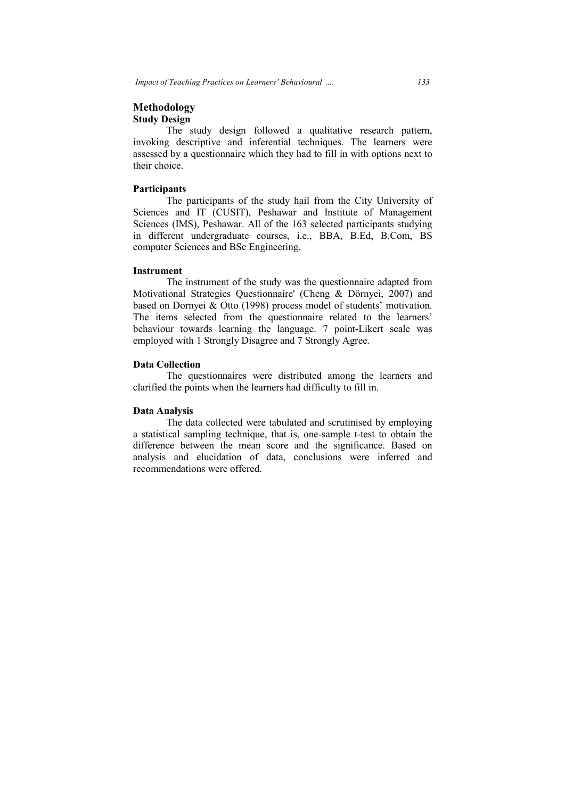# **Methodology Study Design**

The study design followed a qualitative research pattern, invoking descriptive and inferential techniques. The learners were assessed by a questionnaire which they had to fill in with options next to their choice.

### **Participants**

The participants of the study hail from the City University of Sciences and IT (CUSIT), Peshawar and Institute of Management<br>
Sciences and IT (CUSIT), Peshawar and Institute of Management<br>
Sciences and IT (CUSIT), Peshawar and Institute of Management Sciences (IMS), Peshawar. All of the 163 selected participants studying in different undergraduate courses, i.e., BBA, B.Ed, B.Com, BS computer Sciences and BSc Engineering.

#### **Instrument**

The instrument of the study was the questionnaire adapted from Motivational Strategies Questionnaire' (Cheng & Dörnyei, 2007) and based on Dornyei & Otto (1998) process model of students' motivation. The items selected from the questionnaire related to the learners' behaviour towards learning the language. 7 point-Likert scale was employed with 1 Strongly Disagree and 7 Strongly Agree. they had to fill in with options next to<br>study hail from the City University of<br>shawar and Institute of Management<br>of the 163 selected participants studying<br>urses, i.e., BBA, B.Ed, B.Com, BS<br>ineering.<br>udy was the questionn

#### **Data Collection**

The questionnaires were distributed among the learners and clarified the points when the learners had difficulty to fill in.

# **Data Analysis**

The data collected were tabulated and scrutinised by employing a statistical sampling technique, that is, one-sample t-test to obtain the difference between the mean score and the significance. Based on analysis and elucidation of data, conclusions were inferred and recommendations were offered.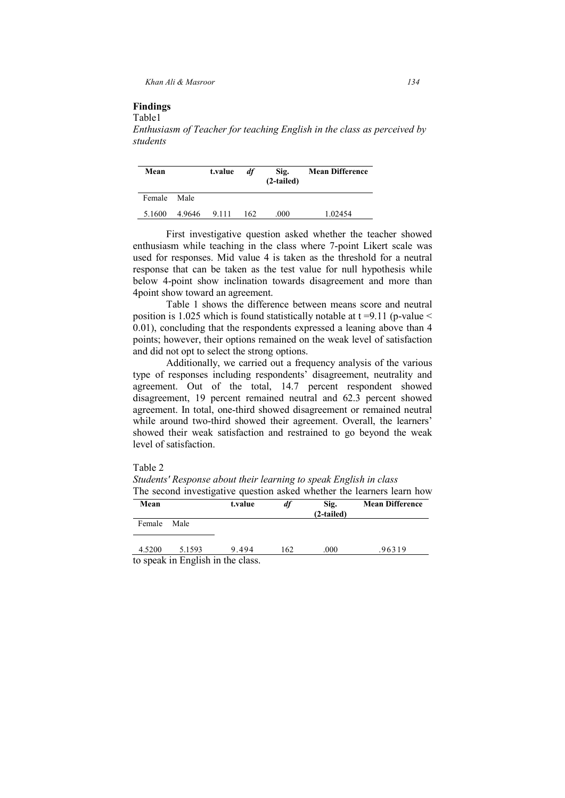*Khan Ali & Masroor 134*

#### **Findings**  Table1

*Enthusiasm of Teacher for teaching English in the class as perceived by students* 

| Mean   |        | t.value | df  | Sig.<br>(2-tailed) | <b>Mean Difference</b> |
|--------|--------|---------|-----|--------------------|------------------------|
| Female | Male   |         |     |                    |                        |
| 5.1600 | 4.9646 | 9.111   | 162 | .000               | 1.02454                |

First investigative question asked whether the teacher showed enthusiasm while teaching in the class where 7-point Likert scale was used for responses. Mid value 4 is taken as the threshold for a neutral response that can be taken as the test value for null hypothesis while below 4-point show inclination towards disagreement and more than 4point show toward an agreement.

Table 1 shows the difference between means score and neutral position is 1.025 which is found statistically notable at  $t = 9.11$  (p-value  $\le$ 0.01), concluding that the respondents expressed a leaning above than 4 points; however, their options remained on the weak level of satisfaction and did not opt to select the strong options.

Additionally, we carried out a frequency analysis of the various type of responses including respondents' disagreement, neutrality and agreement. Out of the total, 14.7 percent respondent showed disagreement, 19 percent remained neutral and 62.3 percent showed agreement. In total, one-third showed disagreement or remained neutral while around two-third showed their agreement. Overall, the learners' showed their weak satisfaction and restrained to go beyond the weak level of satisfaction.

Table 2

*Students' Response about their learning to speak English in class*  The second investigative question asked whether the learners learn how

| Mean   |                                  | t.value | df  | Sig.<br>(2-tailed) | <b>Mean Difference</b> |
|--------|----------------------------------|---------|-----|--------------------|------------------------|
| Female | Male                             |         |     |                    |                        |
| 4.5200 | 5.1593                           | 9.494   | 162 | .000               | .96319                 |
|        | to graph in English in the close |         |     |                    |                        |

to speak in English in the class.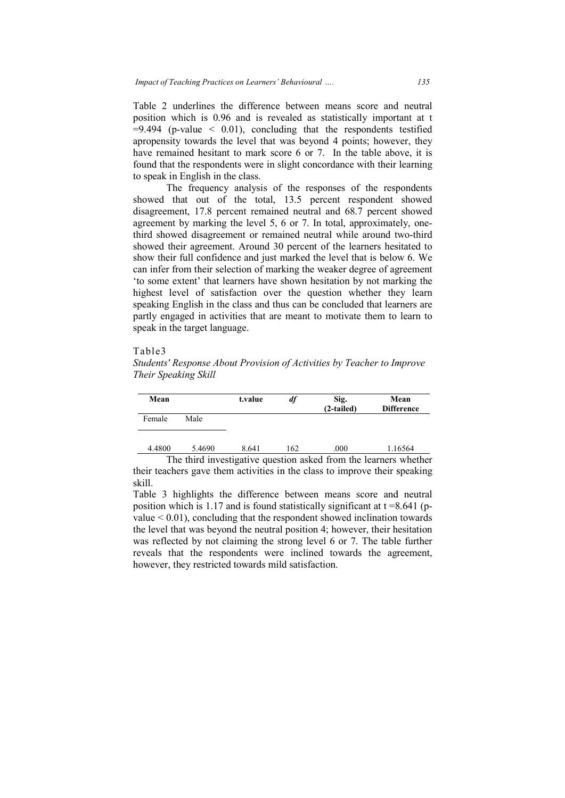Table 2 underlines the difference between means score and neutral position which is 0.96 and is revealed as statistically important at t  $=9.494$  (p-value  $\leq$  0.01), concluding that the respondents testified apropensity towards the level that was beyond 4 points; however, they have remained hesitant to mark score 6 or 7. In the table above, it is found that the respondents were in slight concordance with their learning to speak in English in the class. ue  $\leq$  0.01), concluding that the respondents testified wards the level that was beyond 4 points; however, they l hesitant to mark score 6 or 7. In the table above, it is respondents were in slight concordance with thei and is revealed as statistically important at t<br>1), concluding that the respondents testified<br>level that was beyond 4 points; however, they<br>to mark score 6 or 7. In the table above, it is<br>ts were in slight concordance wit

The frequency analysis of the responses of the respondents showed that out of the total, 13.5 percent respondent showed disagreement, 17.8 percent remained neutral and 68.7 percent showed agreement by marking the level 5, 6 or 7. In total, approximately, one third showed disagreement or remained neutral while around two-third showed their agreement. Around 30 percent of the learners hesitated to show their full confidence and just marked the level that is below 6. We show their full confidence and just marked the level that is below 6. We can infer from their selection of marking the weaker degree of agreement 'to some extent' that learners have shown hesitation by not marking the highest level of satisfaction over the question whether they learn speaking English in the class and thus can be concluded that learners are partly engaged in activities that are meant to motivate them to learn to speak in the target language. be the learners hesitated to<br>marked the level that is below 6. We<br>king the weaker degree of agreement<br>shown hesitation by not marking the<br>the question whether they learn<br>us can be concluded that learners are<br>remaint to mo

# Table3

*Students' Response About Provision of Activities by Teacher to Improve Their Speaking Skill*

| Mean   |        | t.value | df  | Sig.<br>(2-tailed) | Mean<br><b>Difference</b>                                        |
|--------|--------|---------|-----|--------------------|------------------------------------------------------------------|
| Female | Male   |         |     |                    |                                                                  |
| 4.4800 | 5.4690 | 8.641   | 162 | .000               | 1.16564                                                          |
|        |        |         |     |                    | The third investigative question asked from the learners whether |

their teachers gave them activities in the class to improve their speaking skill.

Table 3 highlights the difference between means score and neutral position which is 1.17 and is found statistically significant at  $t = 8.641$  (pvalue  $\leq 0.01$ ), concluding that the respondent showed inclination towards position which is 1.17 and is found statistically significant at  $t = 8.641$  (p-<br>value  $\le 0.01$ ), concluding that the respondent showed inclination towards<br>the level that was beyond the neutral position 4; however, their was reflected by not claiming the strong level 6 or 7. The table further reveals that the respondents were inclined towards the agreement, however, they restricted towards mild satisfaction. they  **t.value** *df* **Sig.**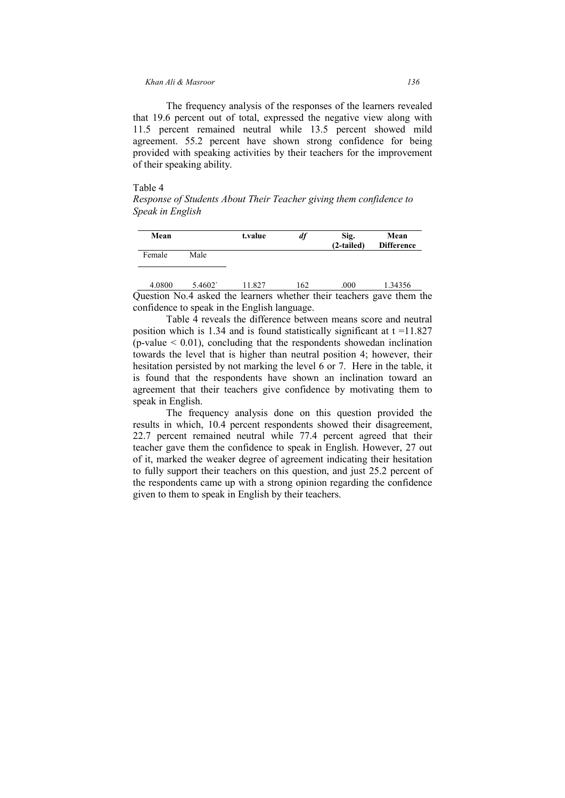#### *Khan Ali & Masroor 136*

The frequency analysis of the responses of the learners revealed that 19.6 percent out of total, expressed the negative view along with 11.5 percent remained neutral while 13.5 percent showed mild agreement. 55.2 percent have shown strong confidence for being provided with speaking activities by their teachers for the improvement of their speaking ability.

# Table 4

*Response of Students About Their Teacher giving them confidence to Speak in English* 

| Mean   |      | t.value | df | Sig.<br>(2-tailed) | Mean<br><b>Difference</b> |
|--------|------|---------|----|--------------------|---------------------------|
| Female | Male |         |    |                    |                           |

Question No.4 asked the learners whether their teachers gave them the confidence to speak in the English language. 4.0800 5.4602` 11.827 162 .000 1.34356

Table 4 reveals the difference between means score and neutral position which is 1.34 and is found statistically significant at  $t = 11.827$  $(p-value < 0.01)$ , concluding that the respondents showedan inclination towards the level that is higher than neutral position 4; however, their hesitation persisted by not marking the level 6 or 7. Here in the table, it is found that the respondents have shown an inclination toward an agreement that their teachers give confidence by motivating them to speak in English.

The frequency analysis done on this question provided the results in which, 10.4 percent respondents showed their disagreement, 22.7 percent remained neutral while 77.4 percent agreed that their teacher gave them the confidence to speak in English. However, 27 out of it, marked the weaker degree of agreement indicating their hesitation to fully support their teachers on this question, and just 25.2 percent of the respondents came up with a strong opinion regarding the confidence given to them to speak in English by their teachers.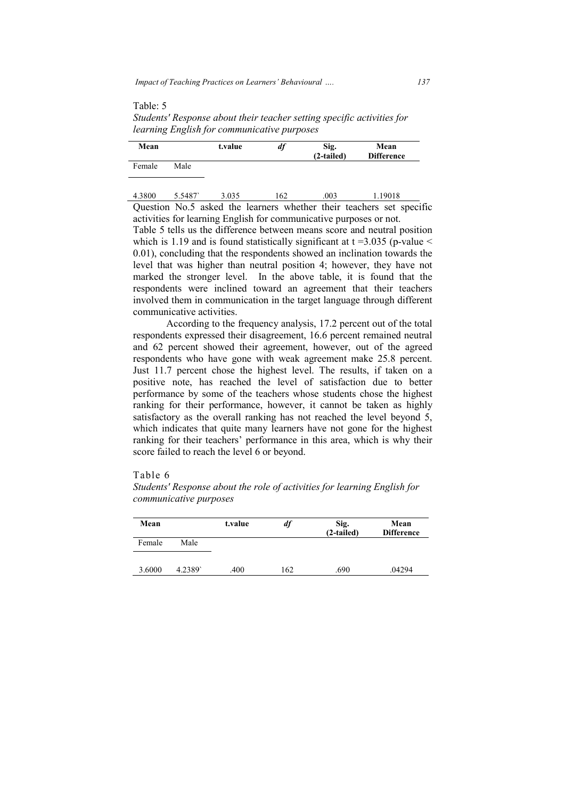Table: 5

*Students' Response about their teacher setting specific activities for learning English for communicative purposes ing* 

| Mean   |        | t.value | df  | Sig.<br>$(2-tailed)$ | Mean<br><b>Difference</b> |
|--------|--------|---------|-----|----------------------|---------------------------|
| Female | Male   |         |     |                      |                           |
| 4.3800 | 5.5487 | 3.035   | 162 | .003                 | 1.19018                   |

Question No.5 asked the learners whether their teachers set specific activities for learning English for communicative purposes or not.

Table 5 tells us the difference between means score and neutral position which is 1.19 and is found statistically significant at  $t = 3.035$  (p-value  $\le$ 0.01), concluding that the respondents showed an inclination towards the level that was higher than neutral position 4; however, they have not marked the stronger level. In the above table, it is found that the respondents were inclined toward an agreement that their teachers involved them in communication in the target language through different communicative activities. on No.5 asked the learners whether their teachers set specific es for learning English for communicative purposes or not.<br>5 tells us the difference between means score and neutral position is 1.19 and is found statistical

According to the frequency analysis, 17.2 percent out of the total respondents expressed their disagreement, 16.6 percent remained neutral and 62 percent showed their agreement, however, out of the agreed respondents who have gone with weak agreement make 25.8 percent. Just 11.7 percent chose the highest level. The results, if taken on a positive note, has reached the level of satisfaction due to better performance by some of the teachers whose students chose the highest ranking for their performance, however, it cannot be taken as highly satisfactory as the overall ranking has not reached the level beyond 5, which indicates that quite many learners have not gone for the highest ranking for their teachers' performance in this area, which is why their score failed to reach the level 6 or beyond. communication in the target language through different<br>citivities.<br>g to the frequency analysis, 17.2 percent out of the total<br>essed their disagreement, 16.6 percent remained neutral txalue *df* Sig. Mean<br>
(2-tailed) Difference<br>  $\frac{3.035}{2}$   $\frac{162}{2}$   $\frac{.003}{2}$   $\frac{1.19018}{2}$ <br>
asked the learners whether their teachers set specific<br>
tring English for communicative purposes or not.<br>
the differenc

### Table 6

*Students' Response Response about the role of activities for learning English for communicative purposes*

| Mean   |        | t.value | df  | Sig.<br>(2-tailed) | Mean<br><b>Difference</b> |
|--------|--------|---------|-----|--------------------|---------------------------|
| Female | Male   |         |     |                    |                           |
| 3.6000 | 4.2389 | .400    | 162 | .690               | .04294                    |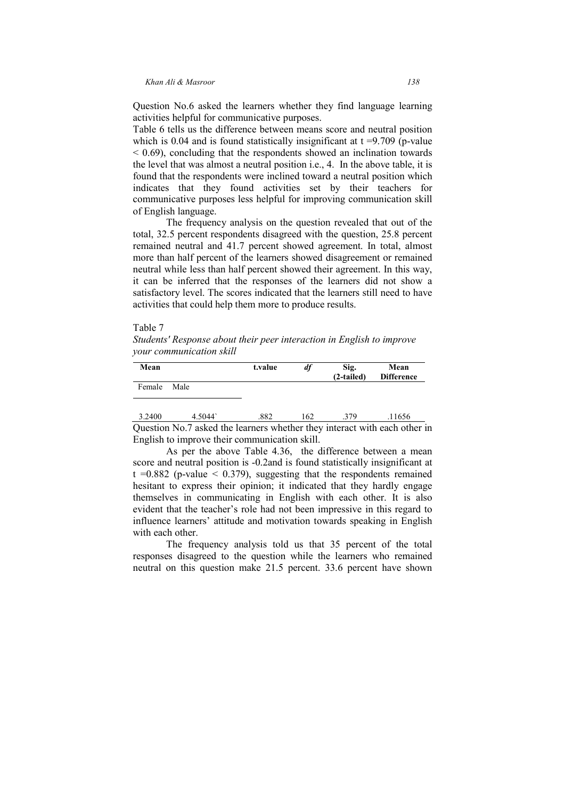Question No.6 asked the learners whether they find language learning activities helpful for communicative purposes.

Table 6 tells us the difference between means score and neutral position which is 0.04 and is found statistically insignificant at  $t = 9.709$  (p-value  $<$  0.69), concluding that the respondents showed an inclination towards the level that was almost a neutral position i.e., 4. In the above table, it is found that the respondents were inclined toward a neutral position which indicates that they found activities set by their teachers for communicative purposes less helpful for improving communication skill of English language.

The frequency analysis on the question revealed that out of the total, 32.5 percent respondents disagreed with the question, 25.8 percent remained neutral and 41.7 percent showed agreement. In total, almost more than half percent of the learners showed disagreement or remained neutral while less than half percent showed their agreement. In this way, it can be inferred that the responses of the learners did not show a satisfactory level. The scores indicated that the learners still need to have activities that could help them more to produce results.

# Table 7

*Students' Response about their peer interaction in English to improve your communication skill* 

| Mean   |                                                                           | t.value | df  | Sig.<br>(2-tailed) | Mean<br><b>Difference</b> |
|--------|---------------------------------------------------------------------------|---------|-----|--------------------|---------------------------|
| Female | Male                                                                      |         |     |                    |                           |
| 3.2400 | 4 5044                                                                    | 882     | 162 | -379               | .11656                    |
|        | Question No. 7 asked the learners whether they interact with each other i |         |     |                    |                           |

Question No.7 asked the learners whether they interact with each other in English to improve their communication skill.

As per the above Table 4.36, the difference between a mean score and neutral position is -0.2and is found statistically insignificant at t =0.882 (p-value  $\leq$  0.379), suggesting that the respondents remained hesitant to express their opinion; it indicated that they hardly engage themselves in communicating in English with each other. It is also evident that the teacher's role had not been impressive in this regard to influence learners' attitude and motivation towards speaking in English with each other.

The frequency analysis told us that 35 percent of the total responses disagreed to the question while the learners who remained neutral on this question make 21.5 percent. 33.6 percent have shown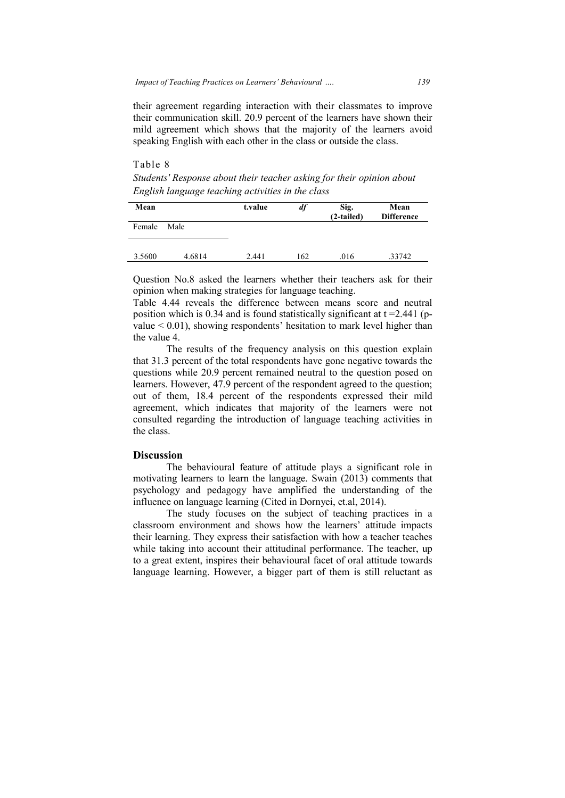their agreement regarding interaction with their classmates to improve their communication skill. 20.9 percent of the learners have shown their mild agreement which shows that the majority of the le learners avoid speaking English with each other in the class or outside the class.

Table 8 *Students' Response about their teacher asking for their opinion about English language teaching activities in the class*

|                                                                       | mild agreement which shows that the majority of the learners avoid<br>speaking English with each other in the class or outside the class.                                                                                                                                                                                                                              |         |     |                    |                           |  |  |
|-----------------------------------------------------------------------|------------------------------------------------------------------------------------------------------------------------------------------------------------------------------------------------------------------------------------------------------------------------------------------------------------------------------------------------------------------------|---------|-----|--------------------|---------------------------|--|--|
| Table 8                                                               |                                                                                                                                                                                                                                                                                                                                                                        |         |     |                    |                           |  |  |
| Students' Response about their teacher asking for their opinion about |                                                                                                                                                                                                                                                                                                                                                                        |         |     |                    |                           |  |  |
|                                                                       | English language teaching activities in the class                                                                                                                                                                                                                                                                                                                      |         |     |                    |                           |  |  |
| Mean                                                                  |                                                                                                                                                                                                                                                                                                                                                                        | t.value | df  | Sig.<br>(2-tailed) | Mean<br><b>Difference</b> |  |  |
| Female                                                                | Male                                                                                                                                                                                                                                                                                                                                                                   |         |     |                    |                           |  |  |
|                                                                       |                                                                                                                                                                                                                                                                                                                                                                        |         |     |                    |                           |  |  |
| 3.5600                                                                | 4.6814                                                                                                                                                                                                                                                                                                                                                                 | 2.441   | 162 | .016               | .33742                    |  |  |
| the value 4.                                                          | Question No.8 asked the learners whether their teachers ask for their<br>opinion when making strategies for language teaching.<br>Table 4.44 reveals the difference between means score and neutral<br>position which is 0.34 and is found statistically significant at $t = 2.441$ (p-<br>value $< 0.01$ ), showing respondents' hesitation to mark level higher than |         |     |                    |                           |  |  |
|                                                                       | The results of the frequency analysis on this question explain<br>that 31.3 percent of the total respondents have gone negative towards the<br>questions while 20.9 percent remained neutral to the question posed on<br>learners. However, 47.9 percent of the respondent agreed to the question;                                                                     |         |     |                    |                           |  |  |

The results of the frequency analysis on this question explain that 31.3 percent of the total respondents have gone negative towards the questions while 20.9 percent remained neutral to the question posed on learners. However, 47.9 percent of the respondent agreed to the question; out of them, 18.4 percent of the respondents expressed their mild agreement, which indicates that majority of the learners were not consulted regarding the introduction of language teaching activities in the class. which indicates that majority of the learners were not<br>regarding the introduction of language teaching activities in<br>n<br>e behavioural feature of attitude plays a significant role in 11.3 percent of the total respondents have gone negative towards the<br>ions while 20.9 percent remained neutral to the question posed on<br>ers. However, 47.9 percent of the respondent agreed to the question;<br>of them, 18.4 perc  $\frac{33742}{127}$ <br> $\frac{33742}{127}$ <br>ars ask for ore and net at t =2.44<br>evel higher<br>question experiency to the quessed their<br>reners were ing activities<br>seed their<br>mens were ing activities<br>standing of 014).<br>practices attitude i

# **Discussion**

The behavioural feature of attitude plays a significant role in motivating learners to learn the language. Swain (2013) comments that psychology and pedagogy have amplified the understanding of the influence on language learning (Cited in Dornyei, et.al, 2014).

The study focuses on the subject of teaching practices in a classroom environment and shows how the learners' attitude impacts their learning. They express their satisfaction with how a teacher teaches The study focuses on the subject of teaching practices in a classroom environment and shows how the learners' attitude impacts their learning. They express their satisfaction with how a teacher teaches while taking into ac to a great extent, inspires their behavioural facet of oral attitude towards language learning. However, a bigger part of them is still reluctant as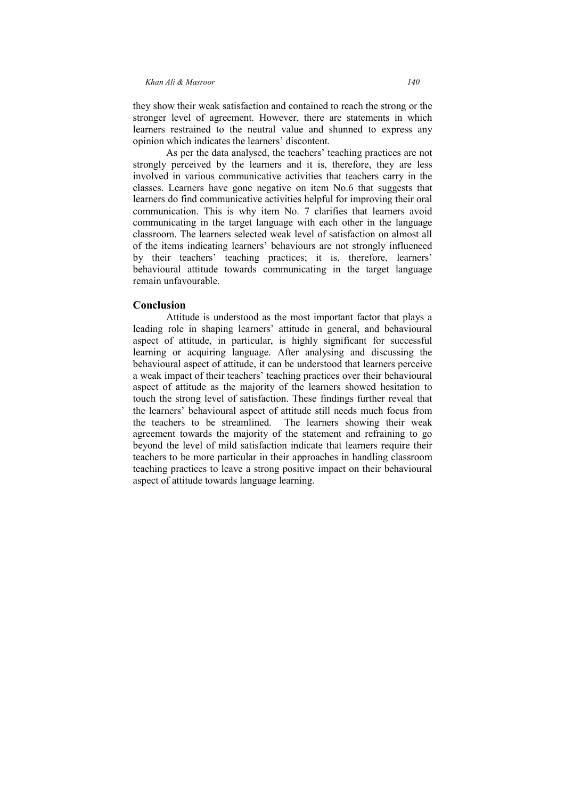they show their weak satisfaction and contained to reach the strong or the stronger level of agreement. However, there are statements in which learners restrained to the neutral value and shunned to express any opinion which indicates the learners' discontent.

As per the data analysed, the teachers' teaching practices are not strongly perceived by the learners and it is, therefore, they are less involved in various communicative activities that teachers carry in the classes. Learners have gone negative on item No.6 that suggests that learners do find communicative activities helpful for improving their oral communication. This is why item No. 7 clarifies that learners avoid communicating in the target language with each other in the language classroom. The learners selected weak level of satisfaction on almost all of the items indicating learners' behaviours are not strongly influenced by their teachers' teaching practices; it is, therefore, learners' behavioural attitude towards communicating in the target language remain unfavourable.

# **Conclusion**

Attitude is understood as the most important factor that plays a leading role in shaping learners' attitude in general, and behavioural aspect of attitude, in particular, is highly significant for successful learning or acquiring language. After analysing and discussing the behavioural aspect of attitude, it can be understood that learners perceive a weak impact of their teachers' teaching practices over their behavioural aspect of attitude as the majority of the learners showed hesitation to touch the strong level of satisfaction. These findings further reveal that the learners' behavioural aspect of attitude still needs much focus from the teachers to be streamlined. The learners showing their weak agreement towards the majority of the statement and refraining to go beyond the level of mild satisfaction indicate that learners require their teachers to be more particular in their approaches in handling classroom teaching practices to leave a strong positive impact on their behavioural aspect of attitude towards language learning.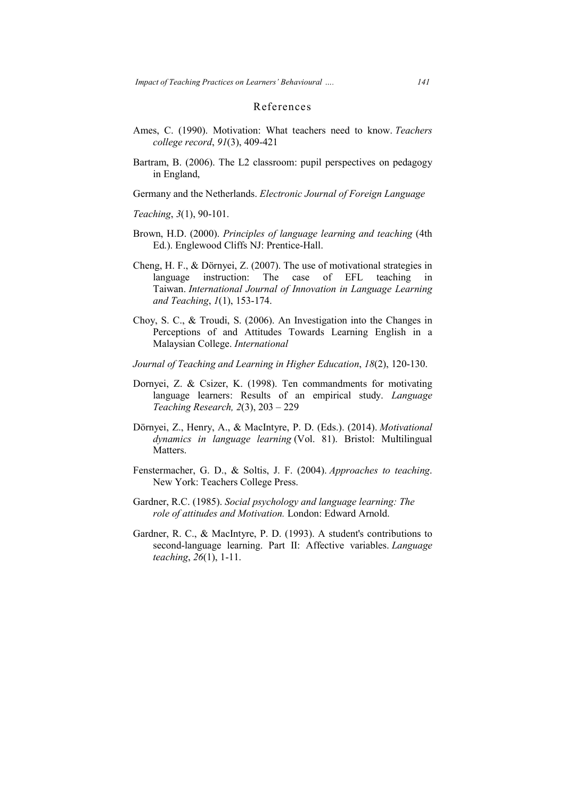# References

- Ames, C. (1990). Motivation: What teachers need to know. *Teachers Teachers college record* , *91*(3), 409-421
- Bartram, B. (2006). The L2 classroom: pupil perspectives on pedagogy in England,

Germany and the Netherlands. *Electronic Journal of Foreign Language* 

*Teaching*, 3(1), 90-101.

- Brown, H.D. (2000). *Principles of language learning and teaching* (4th Ed.). Englewood Cliffs NJ: Prentice-Hall.
- Cheng, H. F., & Dörnyei, Z. (2007). The use of motivational strategies in language instruction: The case of EFL teaching in Taiwan. *International Journal of Innovation in Language Learning Learning and Teaching* , *1*(1), 153-174.
- Choy, S. C., & Troudi, S. (2006). An Investigation into the Changes in Perceptions of and Attitudes Towards Lear Learning English in a Malaysian College. *International*  Perceptions of and Attitudes Towards Learning English in a Malaysian College. *International*<br> *Journal of Teaching and Learning in Higher Education*, 18(2), 120-130.
- 
- Dornyei, Z. & Csizer, K. (1998). Ten commandments for motivating language learners: Results of an empirical study. Language *Teaching Research, 2* (3), 203 – 229
- Dörnyei, Z., Henry, A., & MacIntyre, P. D. (Eds.). (2014). (Eds.). *Motivational dynamics in language learning* (Vol. 81). Bristol: Multilingual Matters.
- Fenstermacher, G. D., & Soltis, J. F. (2004). *Approaches to teaching* . New York: Teachers College Press.
- Gardner, R.C. (1985). *Social psychology and language learning: The role of attitudes and Motivation.* London: Edward Arnold.
- Gardner, R. C., & MacIntyre, P. D. (1993). A student's contributions to second-language learning. Part II: Affective variables. *Language teaching*, *26* (1), 1-11.